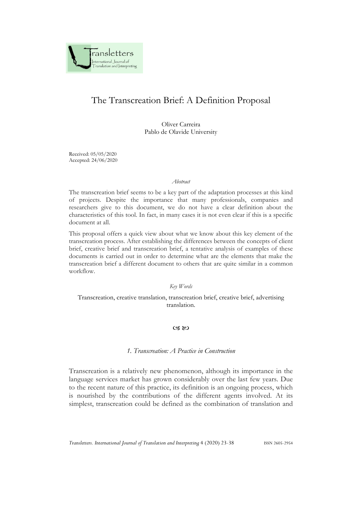

# The Transcreation Brief: A Definition Proposal

Oliver Carreira Pablo de Olavide University

Received: 05/05/2020 Accepted: 24/06/2020

#### *Abstract*

The transcreation brief seems to be a key part of the adaptation processes at this kind of projects. Despite the importance that many professionals, companies and researchers give to this document, we do not have a clear definition about the characteristics of this tool. In fact, in many cases it is not even clear if this is a specific document at all.

This proposal offers a quick view about what we know about this key element of the transcreation process. After establishing the differences between the concepts of client brief, creative brief and transcreation brief, a tentative analysis of examples of these documents is carried out in order to determine what are the elements that make the transcreation brief a different document to others that are quite similar in a common workflow.

#### *Key Words*

## Transcreation, creative translation, transcreation brief, creative brief, advertising translation.

#### $C3$   $C2$

#### *1. Transcreation: A Practice in Construction*

Transcreation is a relatively new phenomenon, although its importance in the language services market has grown considerably over the last few years. Due to the recent nature of this practice, its definition is an ongoing process, which is nourished by the contributions of the different agents involved. At its simplest, transcreation could be defined as the combination of translation and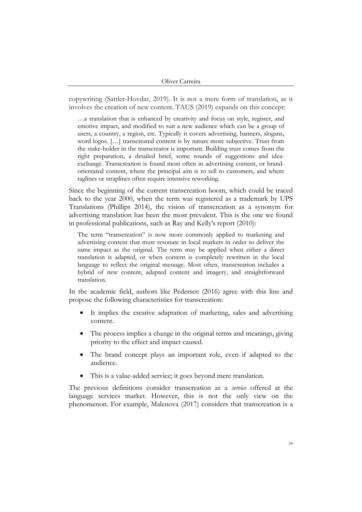copywriting (Sattler-Hovdar, 2019). It is not a mere form of translation, as it involves the creation of new content. TAUS (2019) expands on this concept:

…a translation that is enhanced by creativity and focus on style, register, and emotive impact, and modified to suit a new audience which can be a group of users, a country, a region, etc. Typically it covers advertising, banners, slogans, word logos. […] transcreated content is by nature more subjective. Trust from the stake-holder in the transcreator is important. Building trust comes from the right preparation, a detailed brief, some rounds of suggestions and ideaexchange. Transcreation is found most often in advertising content, or brandorientated content, where the principal aim is to sell to customers, and where taglines or straplines often require intensive reworking.

Since the beginning of the current transcreation boom, which could be traced back to the year 2000, when the term was registered as a trademark by UPS Translations (Phillips 2014), the vision of transcreation as a synonym for advertising translation has been the most prevalent. This is the one we found in professional publications, such as Ray and Kelly's report (2010):

The term "transcreation" is now more commonly applied to marketing and advertising content that must resonate in local markets in order to deliver the same impact as the original. The term may be applied when either a direct translation is adapted, or when content is completely rewritten in the local language to reflect the original message. Most often, transcreation includes a hybrid of new content, adapted content and imagery, and straightforward translation.

In the academic field, authors like Pedersen (2016) agree with this line and propose the following characteristics for transcreation:

- It implies the creative adaptation of marketing, sales and advertising content.
- The process implies a change in the original terms and meanings, giving priority to the effect and impact caused.
- The brand concept plays an important role, even if adapted to the audience.
- This is a value-added service; it goes beyond mere translation.

The previous definitions consider transcreation as a *service* offered at the language services market. However, this is not the only view on the phenomenon. For example, Malenova (2017) considers that transcreation is a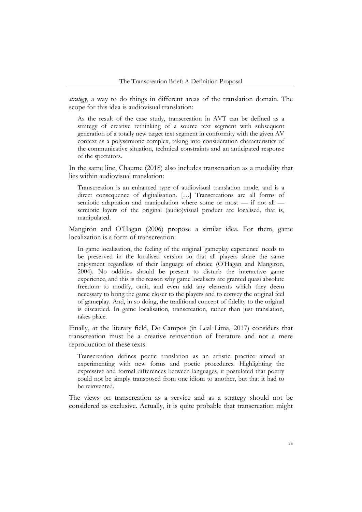*strategy*, a way to do things in different areas of the translation domain. The scope for this idea is audiovisual translation:

As the result of the case study, transcreation in AVT can be defined as a strategy of creative rethinking of a source text segment with subsequent generation of a totally new target text segment in conformity with the given AV context as a polysemiotic complex, taking into consideration characteristics of the communicative situation, technical constraints and an anticipated response of the spectators.

In the same line, Chaume (2018) also includes transcreation as a modality that lies within audiovisual translation:

Transcreation is an enhanced type of audiovisual translation mode, and is a direct consequence of digitalisation. […] Transcreations are all forms of semiotic adaptation and manipulation where some or most — if not all semiotic layers of the original (audio)visual product are localised, that is, manipulated.

Mangirón and O'Hagan (2006) propose a similar idea. For them, game localization is a form of transcreation:

In game localisation, the feeling of the original 'gameplay experience' needs to be preserved in the localised version so that all players share the same enjoyment regardless of their language of choice (O'Hagan and Mangiron, 2004). No oddities should be present to disturb the interactive game experience, and this is the reason why game localisers are granted quasi absolute freedom to modify, omit, and even add any elements which they deem necessary to bring the game closer to the players and to convey the original feel of gameplay. And, in so doing, the traditional concept of fidelity to the original is discarded. In game localisation, transcreation, rather than just translation, takes place.

Finally, at the literary field, De Campos (in Leal Lima, 2017) considers that transcreation must be a creative reinvention of literature and not a mere reproduction of these texts:

Transcreation defines poetic translation as an artistic practice aimed at experimenting with new forms and poetic procedures. Highlighting the expressive and formal differences between languages, it postulated that poetry could not be simply transposed from one idiom to another, but that it had to be reinvented.

The views on transcreation as a service and as a strategy should not be considered as exclusive. Actually, it is quite probable that transcreation might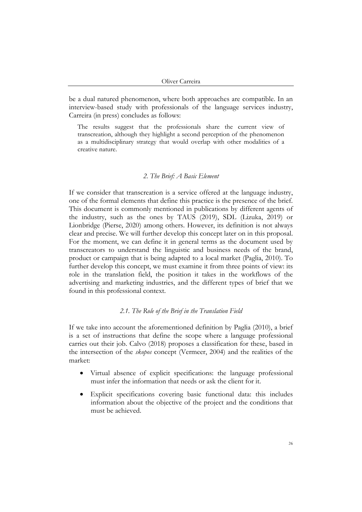be a dual natured phenomenon, where both approaches are compatible. In an interview-based study with professionals of the language services industry, Carreira (in press) concludes as follows:

The results suggest that the professionals share the current view of transcreation, although they highlight a second perception of the phenomenon as a multidisciplinary strategy that would overlap with other modalities of a creative nature.

#### *2. The Brief: A Basic Element*

If we consider that transcreation is a service offered at the language industry, one of the formal elements that define this practice is the presence of the brief. This document is commonly mentioned in publications by different agents of the industry, such as the ones by TAUS (2019), SDL (Lizuka, 2019) or Lionbridge (Pierse, 2020) among others. However, its definition is not always clear and precise. We will further develop this concept later on in this proposal. For the moment, we can define it in general terms as the document used by transcreators to understand the linguistic and business needs of the brand, product or campaign that is being adapted to a local market (Paglia, 2010). To further develop this concept, we must examine it from three points of view: its role in the translation field, the position it takes in the workflows of the advertising and marketing industries, and the different types of brief that we found in this professional context.

## *2.1. The Role of the Brief in the Translation Field*

If we take into account the aforementioned definition by Paglia (2010), a brief is a set of instructions that define the scope where a language professional carries out their job. Calvo (2018) proposes a classification for these, based in the intersection of the *skopos* concept (Vermeer, 2004) and the realities of the market:

- Virtual absence of explicit specifications: the language professional must infer the information that needs or ask the client for it.
- Explicit specifications covering basic functional data: this includes information about the objective of the project and the conditions that must be achieved.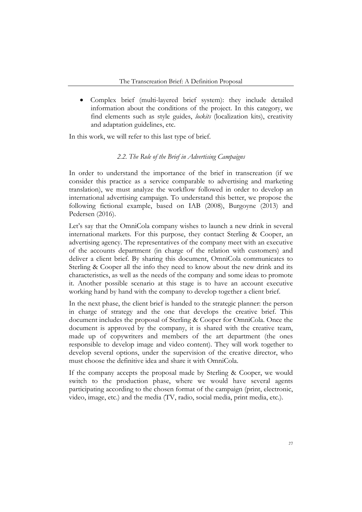• Complex brief (multi-layered brief system): they include detailed information about the conditions of the project. In this category, we find elements such as style guides, *lockits* (localization kits), creativity and adaptation guidelines, etc.

In this work, we will refer to this last type of brief.

## *2.2. The Role of the Brief in Advertising Campaigns*

In order to understand the importance of the brief in transcreation (if we consider this practice as a service comparable to advertising and marketing translation), we must analyze the workflow followed in order to develop an international advertising campaign. To understand this better, we propose the following fictional example, based on IAB (2008), Burgoyne (2013) and Pedersen (2016).

Let's say that the OmniCola company wishes to launch a new drink in several international markets. For this purpose, they contact Sterling & Cooper, an advertising agency. The representatives of the company meet with an executive of the accounts department (in charge of the relation with customers) and deliver a client brief. By sharing this document, OmniCola communicates to Sterling & Cooper all the info they need to know about the new drink and its characteristics, as well as the needs of the company and some ideas to promote it. Another possible scenario at this stage is to have an account executive working hand by hand with the company to develop together a client brief.

In the next phase, the client brief is handed to the strategic planner: the person in charge of strategy and the one that develops the creative brief. This document includes the proposal of Sterling & Cooper for OmniCola. Once the document is approved by the company, it is shared with the creative team, made up of copywriters and members of the art department (the ones responsible to develop image and video content). They will work together to develop several options, under the supervision of the creative director, who must choose the definitive idea and share it with OmniCola.

If the company accepts the proposal made by Sterling & Cooper, we would switch to the production phase, where we would have several agents participating according to the chosen format of the campaign (print, electronic, video, image, etc.) and the media (TV, radio, social media, print media, etc.).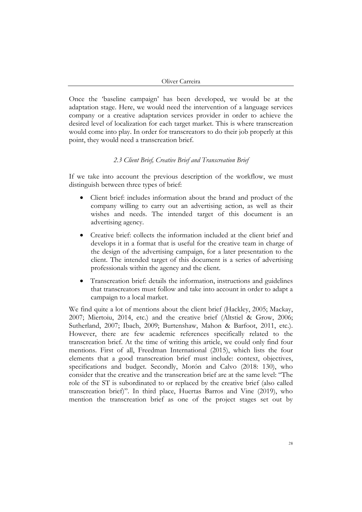Once the 'baseline campaign' has been developed, we would be at the adaptation stage. Here, we would need the intervention of a language services company or a creative adaptation services provider in order to achieve the desired level of localization for each target market. This is where transcreation would come into play. In order for transcreators to do their job properly at this point, they would need a transcreation brief.

## *2.3 Client Brief, Creative Brief and Transcreation Brief*

If we take into account the previous description of the workflow, we must distinguish between three types of brief:

- Client brief: includes information about the brand and product of the company willing to carry out an advertising action, as well as their wishes and needs. The intended target of this document is an advertising agency.
- Creative brief: collects the information included at the client brief and develops it in a format that is useful for the creative team in charge of the design of the advertising campaign, for a later presentation to the client. The intended target of this document is a series of advertising professionals within the agency and the client.
- Transcreation brief: details the information, instructions and guidelines that transcreators must follow and take into account in order to adapt a campaign to a local market.

We find quite a lot of mentions about the client brief (Hackley, 2005; Mackay, 2007; Miertoiu, 2014, etc.) and the creative brief (Altstiel & Grow, 2006; Sutherland, 2007; Ibach, 2009; Burtenshaw, Mahon & Barfoot, 2011, etc.). However, there are few academic references specifically related to the transcreation brief. At the time of writing this article, we could only find four mentions. First of all, Freedman International (2015), which lists the four elements that a good transcreation brief must include: context, objectives, specifications and budget. Secondly, Morón and Calvo (2018: 130), who consider that the creative and the transcreation brief are at the same level: "The role of the ST is subordinated to or replaced by the creative brief (also called transcreation brief)". In third place, Huertas Barros and Vine (2019), who mention the transcreation brief as one of the project stages set out by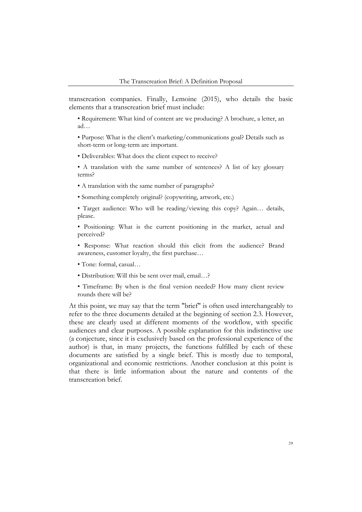transcreation companies. Finally, Lemoine (2015), who details the basic elements that a transcreation brief must include:

• Requirement: What kind of content are we producing? A brochure, a letter, an ad…

• Purpose: What is the client's marketing/communications goal? Details such as short-term or long-term are important.

• Deliverables: What does the client expect to receive?

• A translation with the same number of sentences? A list of key glossary terms?

• A translation with the same number of paragraphs?

• Something completely original? (copywriting, artwork, etc.)

• Target audience: Who will be reading/viewing this copy? Again… details, please.

• Positioning: What is the current positioning in the market, actual and perceived?

• Response: What reaction should this elicit from the audience? Brand awareness, customer loyalty, the first purchase…

• Tone: formal, casual…

• Distribution: Will this be sent over mail, email…?

• Timeframe: By when is the final version needed? How many client review rounds there will be?

At this point, we may say that the term "brief" is often used interchangeably to refer to the three documents detailed at the beginning of section 2.3. However, these are clearly used at different moments of the workflow, with specific audiences and clear purposes. A possible explanation for this indistinctive use (a conjecture, since it is exclusively based on the professional experience of the author) is that, in many projects, the functions fulfilled by each of these documents are satisfied by a single brief. This is mostly due to temporal, organizational and economic restrictions. Another conclusion at this point is that there is little information about the nature and contents of the transcreation brief.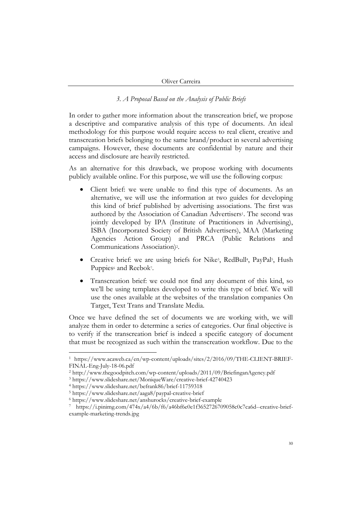## *3. A Proposal Based on the Analysis of Public Briefs*

In order to gather more information about the transcreation brief, we propose a descriptive and comparative analysis of this type of documents. An ideal methodology for this purpose would require access to real client, creative and transcreation briefs belonging to the same brand/product in several advertising campaigns. However, these documents are confidential by nature and their access and disclosure are heavily restricted.

As an alternative for this drawback, we propose working with documents publicly available online. For this purpose, we will use the following corpus:

- Client brief: we were unable to find this type of documents. As an alternative, we will use the information at two guides for developing this kind of brief published by advertising associations. The first was authored by the Association of Canadian Advertisers<sup>1</sup>. The second was jointly developed by IPA (Institute of Practitioners in Advertising), ISBA (Incorporated Society of British Advertisers), MAA (Marketing Agencies Action Group) and PRCA (Public Relations and Communications Association)2.
- Creative brief: we are using briefs for Nike3, RedBull4, PayPal5, Hush Puppies<sup>6</sup> and Reebok<sup>7</sup>.
- Transcreation brief: we could not find any document of this kind, so we'll be using templates developed to write this type of brief. We will use the ones available at the websites of the translation companies On Target, Text Trans and Translate Media.

Once we have defined the set of documents we are working with, we will analyze them in order to determine a series of categories. Our final objective is to verify if the transcreation brief is indeed a specific category of document that must be recognized as such within the transcreation workflow. Due to the

<sup>1</sup> https://www.acaweb.ca/en/wp-content/uploads/sites/2/2016/09/THE-CLIENT-BRIEF-FINAL-Eng-July-18-06.pdf

<sup>2</sup> http://www.thegoodpitch.com/wp-content/uploads/2011/09/BriefinganAgency.pdf

<sup>3</sup> https://www.slideshare.net/MoniqueWare/creative-brief-42740423

<sup>4</sup> https://www.slideshare.net/befrank86/brief-11759318

<sup>5</sup> https://www.slideshare.net/aaga8/paypal-creative-brief

<sup>6</sup> https://www.slideshare.net/anshurocks/creative-brief-example

https://i.pinimg.com/474x/a4/6b/f6/a46bf6e0e1f3652726709058c0c7ca6d--creative-briefexample-marketing-trends.jpg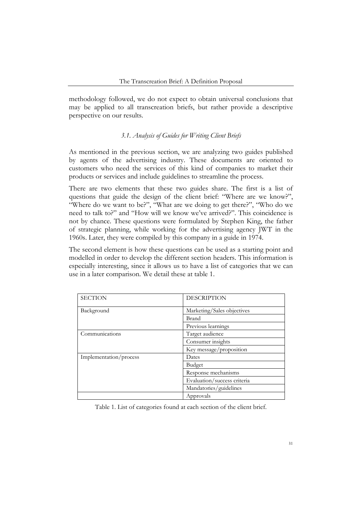methodology followed, we do not expect to obtain universal conclusions that may be applied to all transcreation briefs, but rather provide a descriptive perspective on our results.

# *3.1. Analysis of Guides for Writing Client Briefs*

As mentioned in the previous section, we are analyzing two guides published by agents of the advertising industry. These documents are oriented to customers who need the services of this kind of companies to market their products or services and include guidelines to streamline the process.

There are two elements that these two guides share. The first is a list of questions that guide the design of the client brief: "Where are we know?", "Where do we want to be?", "What are we doing to get there?", "Who do we need to talk to?" and "How will we know we've arrived?". This coincidence is not by chance. These questions were formulated by Stephen King, the father of strategic planning, while working for the advertising agency JWT in the 1960s. Later, they were compiled by this company in a guide in 1974.

The second element is how these questions can be used as a starting point and modelled in order to develop the different section headers. This information is especially interesting, since it allows us to have a list of categories that we can use in a later comparison. We detail these at table 1.

| <b>SECTION</b>         | <b>DESCRIPTION</b>          |  |  |
|------------------------|-----------------------------|--|--|
| Background             | Marketing/Sales objectives  |  |  |
|                        | Brand                       |  |  |
|                        | Previous learnings          |  |  |
| Communications         | Target audience             |  |  |
|                        | Consumer insights           |  |  |
|                        | Key message/proposition     |  |  |
| Implementation/process | Dates                       |  |  |
|                        | Budget                      |  |  |
|                        | Response mechanisms         |  |  |
|                        | Evaluation/success criteria |  |  |
|                        | Mandatories/guidelines      |  |  |
|                        | Approvals                   |  |  |

Table 1. List of categories found at each section of the client brief.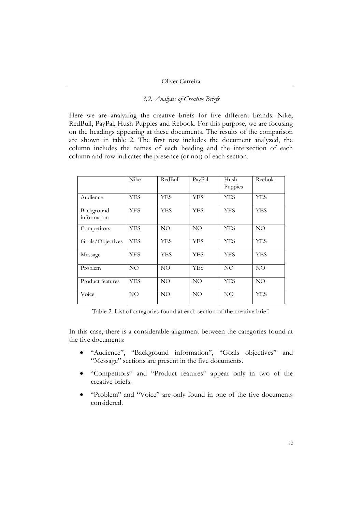## *3.2. Analysis of Creative Briefs*

Here we are analyzing the creative briefs for five different brands: Nike, RedBull, PayPal, Hush Puppies and Rebook. For this purpose, we are focusing on the headings appearing at these documents. The results of the comparison are shown in table 2. The first row includes the document analyzed, the column includes the names of each heading and the intersection of each column and row indicates the presence (or not) of each section.

|                           | Nike       | RedBull         | PayPal          | Hush<br>Puppies | Reebok     |
|---------------------------|------------|-----------------|-----------------|-----------------|------------|
| Audience                  | YES        | YES             | YES             | YES             | <b>YES</b> |
| Background<br>information | <b>YES</b> | YES             | YES             | <b>YES</b>      | <b>YES</b> |
| Competitors               | YES        | NO.             | NO.             | <b>YES</b>      | NO         |
| Goals/Objectives          | <b>YES</b> | YES             | YES             | <b>YES</b>      | <b>YES</b> |
| Message                   | YES        | <b>YES</b>      | <b>YES</b>      | <b>YES</b>      | <b>YES</b> |
| Problem                   | NO         | NO.             | YES             | NO <sub>1</sub> | NO.        |
| Product features          | <b>YES</b> | NO.             | NO.             | <b>YES</b>      | NO.        |
| Voice                     | NO         | NO <sub>1</sub> | NO <sub>1</sub> | NO              | <b>YES</b> |

Table 2. List of categories found at each section of the creative brief.

In this case, there is a considerable alignment between the categories found at the five documents:

- "Audience", "Background information", "Goals objectives" and "Message" sections are present in the five documents.
- "Competitors" and "Product features" appear only in two of the creative briefs.
- "Problem" and "Voice" are only found in one of the five documents considered.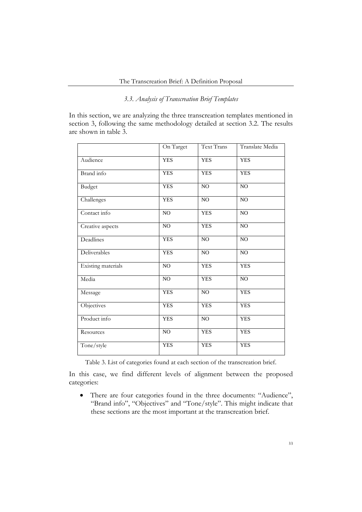# *3.3. Analysis of Transcreation Brief Templates*

In this section, we are analyzing the three transcreation templates mentioned in section 3, following the same methodology detailed at section 3.2. The results are shown in table 3.

|                    | On Target      | <b>Text Trans</b> | Translate Media |
|--------------------|----------------|-------------------|-----------------|
| Audience           | <b>YES</b>     | <b>YES</b>        | <b>YES</b>      |
| Brand info         | <b>YES</b>     | <b>YES</b>        | <b>YES</b>      |
| <b>Budget</b>      | <b>YES</b>     | N <sub>O</sub>    | N <sub>O</sub>  |
| Challenges         | <b>YES</b>     | NO                | N <sub>O</sub>  |
| Contact info       | NO             | <b>YES</b>        | NO              |
| Creative aspects   | N <sub>O</sub> | <b>YES</b>        | N <sub>O</sub>  |
| Deadlines          | <b>YES</b>     | NO                | NO              |
| Deliverables       | <b>YES</b>     | NO                | NO              |
| Existing materials | N <sub>O</sub> | <b>YES</b>        | <b>YES</b>      |
| Media              | NO             | <b>YES</b>        | NO              |
| Message            | <b>YES</b>     | NO                | <b>YES</b>      |
| Objectives         | <b>YES</b>     | <b>YES</b>        | <b>YES</b>      |
| Product info       | <b>YES</b>     | NO                | <b>YES</b>      |
| Resources          | NO             | <b>YES</b>        | <b>YES</b>      |
| Tone/style         | <b>YES</b>     | <b>YES</b>        | <b>YES</b>      |

Table 3. List of categories found at each section of the transcreation brief.

In this case, we find different levels of alignment between the proposed categories:

• There are four categories found in the three documents: "Audience", "Brand info", "Objectives" and "Tone/style". This might indicate that these sections are the most important at the transcreation brief.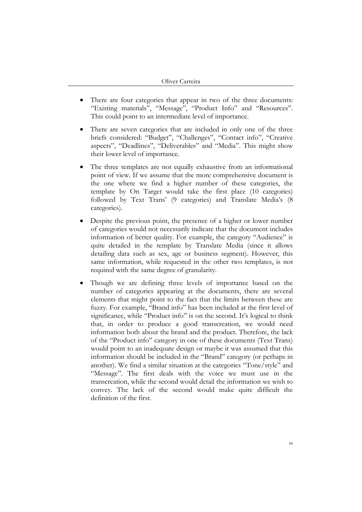- There are four categories that appear in two of the three documents: "Existing materials", "Message", "Product Info" and "Resources". This could point to an intermediate level of importance.
- There are seven categories that are included in only one of the three briefs considered: "Budget", "Challenges", "Contact info", "Creative aspects", "Deadlines", "Deliverables" and "Media". This might show their lower level of importance.
- The three templates are not equally exhaustive from an informational point of view. If we assume that the more comprehensive document is the one where we find a higher number of these categories, the template by On Target would take the first place (10 categories) followed by Text Trans' (9 categories) and Translate Media's (8 categories).
- Despite the previous point, the presence of a higher or lower number of categories would not necessarily indicate that the document includes information of better quality. For example, the category "Audience" is quite detailed in the template by Translate Media (since it allows detailing data such as sex, age or business segment). However, this same information, while requested in the other two templates, is not required with the same degree of granularity.
- Though we are defining three levels of importance based on the number of categories appearing at the documents, there are several elements that might point to the fact that the limits between these are fuzzy. For example, "Brand info" has been included at the first level of significance, while "Product info" is on the second. It's logical to think that, in order to produce a good transcreation, we would need information both about the brand and the product. Therefore, the lack of the "Product info" category in one of these documents (Text Trans) would point to an inadequate design or maybe it was assumed that this information should be included in the "Brand" category (or perhaps in another). We find a similar situation at the categories "Tone/style" and "Message". The first deals with the voice we must use in the transcreation, while the second would detail the information we wish to convey. The lack of the second would make quite difficult the definition of the first.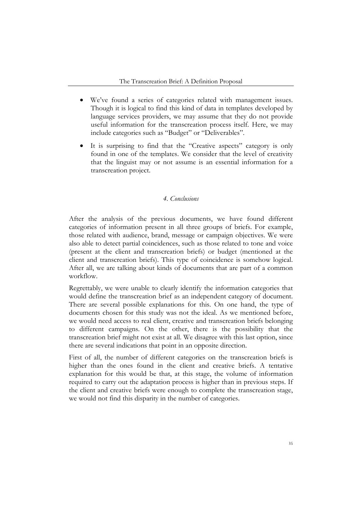- We've found a series of categories related with management issues. Though it is logical to find this kind of data in templates developed by language services providers, we may assume that they do not provide useful information for the transcreation process itself. Here, we may include categories such as "Budget" or "Deliverables".
- It is surprising to find that the "Creative aspects" category is only found in one of the templates. We consider that the level of creativity that the linguist may or not assume is an essential information for a transcreation project.

## *4. Conclusions*

After the analysis of the previous documents, we have found different categories of information present in all three groups of briefs. For example, those related with audience, brand, message or campaign objectives. We were also able to detect partial coincidences, such as those related to tone and voice (present at the client and transcreation briefs) or budget (mentioned at the client and transcreation briefs). This type of coincidence is somehow logical. After all, we are talking about kinds of documents that are part of a common workflow.

Regrettably, we were unable to clearly identify the information categories that would define the transcreation brief as an independent category of document. There are several possible explanations for this. On one hand, the type of documents chosen for this study was not the ideal. As we mentioned before, we would need access to real client, creative and transcreation briefs belonging to different campaigns. On the other, there is the possibility that the transcreation brief might not exist at all. We disagree with this last option, since there are several indications that point in an opposite direction.

First of all, the number of different categories on the transcreation briefs is higher than the ones found in the client and creative briefs. A tentative explanation for this would be that, at this stage, the volume of information required to carry out the adaptation process is higher than in previous steps. If the client and creative briefs were enough to complete the transcreation stage, we would not find this disparity in the number of categories.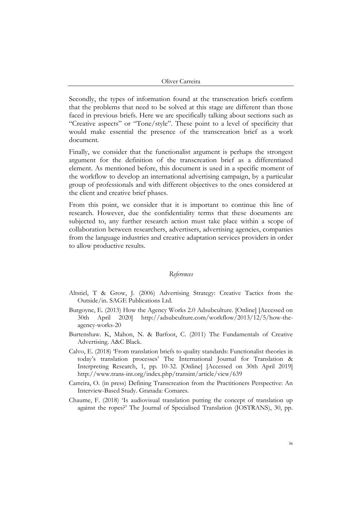Secondly, the types of information found at the transcreation briefs confirm that the problems that need to be solved at this stage are different than those faced in previous briefs. Here we are specifically talking about sections such as "Creative aspects" or "Tone/style". These point to a level of specificity that would make essential the presence of the transcreation brief as a work document.

Finally, we consider that the functionalist argument is perhaps the strongest argument for the definition of the transcreation brief as a differentiated element. As mentioned before, this document is used in a specific moment of the workflow to develop an international advertising campaign, by a particular group of professionals and with different objectives to the ones considered at the client and creative brief phases.

From this point, we consider that it is important to continue this line of research. However, due the confidentiality terms that these documents are subjected to, any further research action must take place within a scope of collaboration between researchers, advertisers, advertising agencies, companies from the language industries and creative adaptation services providers in order to allow productive results.

#### *References*

- Altstiel, T & Grow, J. (2006) Advertising Strategy: Creative Tactics from the Outside/in. SAGE Publications Ltd.
- Burgoyne, E. (2013) How the Agency Works 2.0 Adsubculture. [Online] [Accessed on 30th April 2020] http://adsubculture.com/workflow/2013/12/5/how-theagency-works-20
- Burtenshaw. K, Mahon, N. & Barfoot, C. (2011) The Fundamentals of Creative Advertising. A&C Black.
- Calvo, E. (2018) 'From translation briefs to quality standards: Functionalist theories in today's translation processes' The International Journal for Translation & Interpreting Research, 1, pp. 10-32. [Online] [Accessed on 30th April 2019] http://www.trans-int.org/index.php/transint/article/view/639
- Carreira, O. (in press) Defining Transcreation from the Practitioners Perspective: An Interview-Based Study. Granada: Comares.
- Chaume, F. (2018) 'Is audiovisual translation putting the concept of translation up against the ropes?' The Journal of Specialised Translation (JOSTRANS), 30, pp.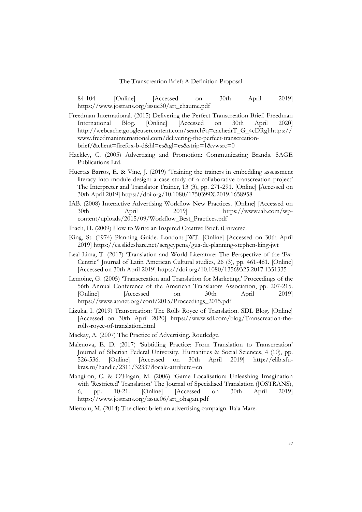84-104. [Online] [Accessed on 30th April 2019] https://www.jostrans.org/issue30/art\_chaume.pdf

- Freedman International. (2015) Delivering the Perfect Transcreation Brief. Freedman International Blog. [Online] [Accessed on 30th April 2020] http://webcache.googleusercontent.com/search?q=cache:irT\_G\_4cDRgJ:https:// www.freedmaninternational.com/delivering-the-perfect-transcreationbrief/&client=firefox-b-d&hl=es&gl=es&strip=1&vwsrc=0
- Hackley, C. (2005) Advertising and Promotion: Communicating Brands. SAGE Publications Ltd.
- Huertas Barros, E. & Vine, J. (2019) 'Training the trainers in embedding assessment literacy into module design: a case study of a collaborative transcreation project' The Interpreter and Translator Trainer, 13 (3), pp. 271-291. [Online] [Accessed on 30th April 2019] https://doi.org/10.1080/1750399X.2019.1658958
- IAB. (2008) Interactive Advertising Workflow New Practices. [Online] [Accessed on 30th April 2019] https://www.iab.com/wpcontent/uploads/2015/09/Workflow\_Best\_Practices.pdf
- Ibach, H. (2009) How to Write an Inspired Creative Brief. iUniverse.
- King, St. (1974) Planning Guide. London: JWT. [Online] [Accessed on 30th April 2019] https://es.slideshare.net/sergeypena/gua-de-planning-stephen-king-jwt
- Leal Lima, T. (2017) 'Translation and World Literature: The Perspective of the 'Ex-Centric'' Journal of Latin American Cultural studies, 26 (3), pp. 461-481. [Online] [Accessed on 30th April 2019] https://doi.org/10.1080/13569325.2017.1351335
- Lemoine, G. (2005) 'Transcreation and Translation for Marketing,' Proceedings of the 56th Annual Conference of the American Translators Association, pp. 207-215. [Online] [Accessed on 30th April 2019] https://www.atanet.org/conf/2015/Proceedings\_2015.pdf
- Lizuka, I. (2019) Transcreation: The Rolls Royce of Translation. SDL Blog. [Online] [Accessed on 30th April 2020] https://www.sdl.com/blog/Transcreation-therolls-royce-of-translation.html
- Mackay, A. (2007) The Practice of Advertising. Routledge.
- Malenova, E. D. (2017) 'Subtitling Practice: From Translation to Transcreation' Journal of Siberian Federal University. Humanities & Social Sciences, 4 (10), pp. 526-536. [Online] [Accessed on 30th April 2019] http://elib.sfukras.ru/handle/2311/32337?locale-attribute=en
- Mangiron, C. & O'Hagan, M. (2006) 'Game Localisation: Unleashing Imagination with 'Restricted' Translation' The Journal of Specialised Translation (JOSTRANS), 6, pp. 10-21. [Online] [Accessed on 30th April 2019] https://www.jostrans.org/issue06/art\_ohagan.pdf

Miertoiu, M. (2014) The client brief: an advertising campaign. Baia Mare.